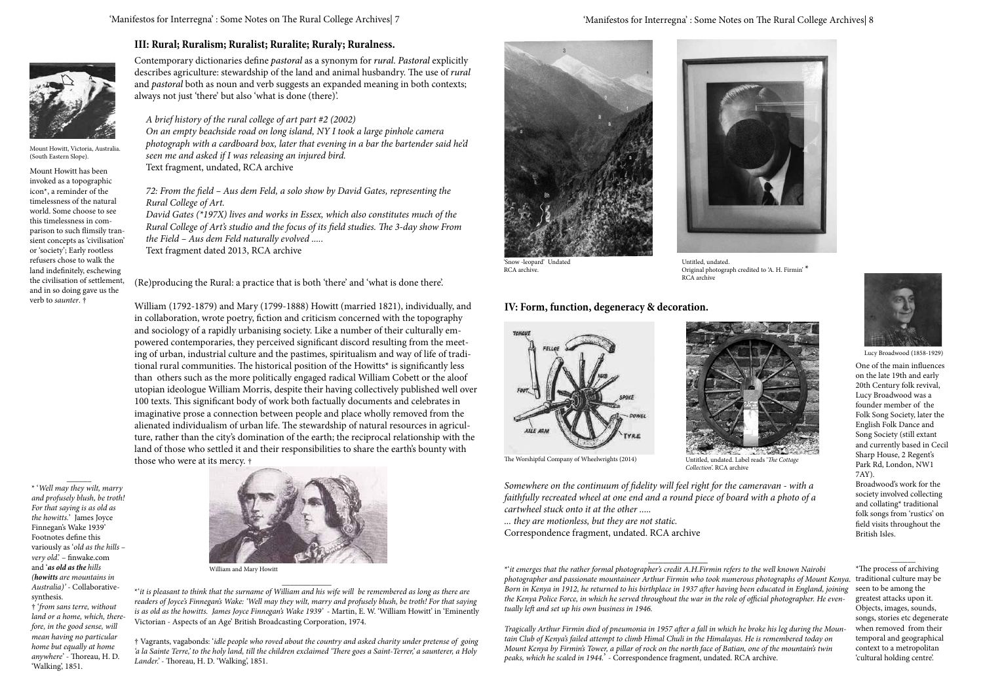'Snow -leopard' Undated RCA archive.



Original photograph credited to 'A. H. Firmin' \* RCA archive Untitled, undated.

*Tragically Arthur Firmin died of pneumonia in 1957 after a fall in which he broke his leg during the Mountain Club of Kenya's failed attempt to climb Himal Chuli in the Himalayas. He is remembered today on Mount Kenya by Firmin's Tower, a pillar of rock on the north face of Batian, one of the mountain's twin peaks, which he scaled in 1944.*' - Correspondence fragment, undated. RCA archive.

 $\overline{\phantom{a}}$  , where  $\overline{\phantom{a}}$ 





Lucy Broadwood (1858-1929)

One of the main influences on the late 19th and early 20th Century folk revival, Lucy Broadwood was a founder member of the Folk Song Society, later the English Folk Dance and Song Society (still extant and currently based in Cecil Sharp House, 2 Regent's Park Rd, London, NW1 7AY).

Broadwood's work for the society involved collecting and collating\* traditional folk songs from 'rustics' on field visits throughout the British Isles.

\_\_\_\_\_\_

\*The process of archiving seen to be among the greatest attacks upon it. Objects, images, sounds, songs, stories etc degenerate when removed from their temporal and geographical context to a metropolitan 'cultural holding centre'.

## **IV: Form, function, degeneracy & decoration.**





The Worshipful Company of Wheelwrights (2014) Untitled, undated. Label reads '*The Cottage* 

*Collection*'. RCA archive

*Somewhere on the continuum of fidelity will feel right for the cameravan - with a faithfully recreated wheel at one end and a round piece of board with a photo of a cartwheel stuck onto it at the other .....*

*... they are motionless, but they are not static.* Correspondence fragment, undated. RCA archive

*A brief history of the rural college of art part #2 (2002)*

*On an empty beachside road on long island, NY I took a large pinhole camera* 

*photograph with a cardboard box, later that evening in a bar the bartender said he'd* 

*seen me and asked if I was releasing an injured bird.*

Text fragment, undated, RCA archive

*72: From the field – Aus dem Feld, a solo show by David Gates, representing the* 

*Rural College of Art.*

*David Gates (\*197X) lives and works in Essex, which also constitutes much of the Rural College of Art's studio and the focus of its field studies. The 3-day show From* 

*the Field – Aus dem Feld naturally evolved .....* Text fragment dated 2013, RCA archive

Mount Howitt, Victoria, Australia. (South Eastern Slope).

Mount Howitt has been invoked as a topographic icon\*, a reminder of the timelessness of the natural world. Some choose to see this timelessness in comparison to such flimsily transient concepts as 'civilisation' or 'society'; Early rootless refusers chose to walk the land indefinitely, eschewing the civilisation of settlement, and in so doing gave us the verb to *saunter*. †

\* '*Well may they wilt, marry and profusely blush, be troth! For that saying is as old as the howitts.*' James Joyce Finnegan's Wake 1939' Footnotes define this variously as '*old as the hills – very old*.' – finwake.com and '*as old as the hills (howitts are mountains in Australia)' -* Collaborativesynthesis.

 $\overline{\phantom{a}}$ 

† '*from sans terre, without land or a home, which, therefore, in the good sense, will mean having no particular home but equally at home anywhere*' - Thoreau, H. D. 'Walking', 1851.

\*'*it is pleasant to think that the surname of William and his wife will be remembered as long as there are readers of Joyce's Finnegan's Wake: 'Well may they wilt, marry and profusely blush, be troth! For that saying is as old as the howitts. James Joyce Finnegan's Wake 1939'* - Martin, E. W. 'William Howitt' in 'Eminently Victorian - Aspects of an Age' British Broadcasting Corporation, 1974.

 $\overline{\phantom{a}}$ 

† Vagrants, vagabonds: '*idle people who roved about the country and asked charity under pretense of going 'a la Sainte Terre,' to the holy land, till the children exclaimed 'There goes a Saint-Terrer,' a saunterer, a Holy Lander.'* - Thoreau, H. D. 'Walking', 1851.



**III: Rural; Ruralism; Ruralist; Ruralite; Ruraly; Ruralness.**

Contemporary dictionaries define *pastoral* as a synonym for *rural*. *Pastoral* explicitly describes agriculture: stewardship of the land and animal husbandry. The use of *rural* and *pastoral* both as noun and verb suggests an expanded meaning in both contexts;

always not just 'there' but also 'what is done (there)'.

(Re)producing the Rural: a practice that is both 'there' and 'what is done there'.

William (1792-1879) and Mary (1799-1888) Howitt (married 1821), individually, and in collaboration, wrote poetry, fiction and criticism concerned with the topography and sociology of a rapidly urbanising society. Like a number of their culturally empowered contemporaries, they perceived significant discord resulting from the meeting of urban, industrial culture and the pastimes, spiritualism and way of life of traditional rural communities. The historical position of the Howitts\* is significantly less than others such as the more politically engaged radical William Cobett or the aloof utopian ideologue William Morris, despite their having collectively published well over 100 texts. This significant body of work both factually documents and celebrates in imaginative prose a connection between people and place wholly removed from the alienated individualism of urban life. The stewardship of natural resources in agriculture, rather than the city's domination of the earth; the reciprocal relationship with the land of those who settled it and their responsibilities to share the earth's bounty with



William and Mary Howitt

<sup>\*&#</sup>x27;*it emerges that the rather formal photographer's credit A.H.Firmin refers to the well known Nairobi photographer and passionate mountaineer Arthur Firmin who took numerous photographs of Mount Kenya.*  traditional culture may be *Born in Kenya in 1912, he returned to his birthplace in 1937 after having been educated in England, joining the Kenya Police Force, in which he served throughout the war in the role of official photographer. He eventually left and set up his own business in 1946.*